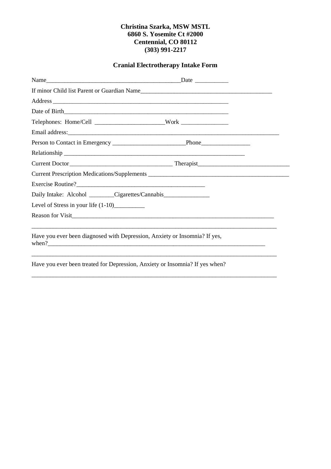### **Christina Szarka, MSW MSTL 6860 S. Yosemite Ct #2000 Centennial, CO 80112 (303) 991-2217**

## **Cranial Electrotherapy Intake Form**

|                                                                                  | If minor Child list Parent or Guardian Name                                            |  |  |  |  |  |  |
|----------------------------------------------------------------------------------|----------------------------------------------------------------------------------------|--|--|--|--|--|--|
|                                                                                  | Address                                                                                |  |  |  |  |  |  |
|                                                                                  |                                                                                        |  |  |  |  |  |  |
|                                                                                  |                                                                                        |  |  |  |  |  |  |
|                                                                                  |                                                                                        |  |  |  |  |  |  |
|                                                                                  |                                                                                        |  |  |  |  |  |  |
|                                                                                  |                                                                                        |  |  |  |  |  |  |
|                                                                                  |                                                                                        |  |  |  |  |  |  |
|                                                                                  |                                                                                        |  |  |  |  |  |  |
|                                                                                  |                                                                                        |  |  |  |  |  |  |
| Daily Intake: Alcohol _________Cigarettes/Cannabis______________________________ |                                                                                        |  |  |  |  |  |  |
| Level of Stress in your life (1-10)___________                                   |                                                                                        |  |  |  |  |  |  |
|                                                                                  |                                                                                        |  |  |  |  |  |  |
|                                                                                  | Have you ever been diagnosed with Depression, Anxiety or Insomnia? If yes,<br>when $?$ |  |  |  |  |  |  |
|                                                                                  | Have you ever been treated for Depression, Anxiety or Insomnia? If yes when?           |  |  |  |  |  |  |

\_\_\_\_\_\_\_\_\_\_\_\_\_\_\_\_\_\_\_\_\_\_\_\_\_\_\_\_\_\_\_\_\_\_\_\_\_\_\_\_\_\_\_\_\_\_\_\_\_\_\_\_\_\_\_\_\_\_\_\_\_\_\_\_\_\_\_\_\_\_\_\_\_\_\_\_\_\_\_\_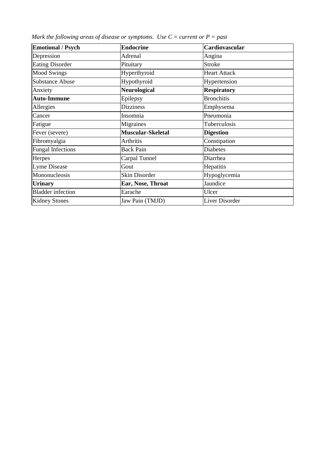| <b>Emotional / Psych</b> | <b>Endocrine</b>    | Cardiovascular<br>Angina      |  |  |  |
|--------------------------|---------------------|-------------------------------|--|--|--|
| Depression               | Adrenal             |                               |  |  |  |
| <b>Eating Disorder</b>   | Pituitary           | Stroke<br><b>Heart Attack</b> |  |  |  |
| <b>Mood Swings</b>       | Hyperthyroid        |                               |  |  |  |
| <b>Substance Abuse</b>   | Hypothyroid         | Hypertension                  |  |  |  |
| Anxiety                  | <b>Neurological</b> | <b>Respiratory</b>            |  |  |  |
| <b>Auto-Immune</b>       | Epilepsy            | <b>Bronchitis</b>             |  |  |  |
| Allergies                | <b>Dizziness</b>    | Emphysema                     |  |  |  |
| Cancer                   | Insomnia            | Pneumonia                     |  |  |  |
| Fatigue                  | <b>Migraines</b>    | Tuberculosis                  |  |  |  |
| Fever (severe)           | Muscular-Skeletal   | <b>Digestion</b>              |  |  |  |
| Fibromyalgia             | <b>Arthritis</b>    | Constipation                  |  |  |  |
| <b>Fungal Infections</b> | <b>Back Pain</b>    | <b>Diabetes</b>               |  |  |  |
| Herpes                   | Carpal Tunnel       | Diarrhea                      |  |  |  |
| Lyme Disease             | Hepatitis<br>Gout   |                               |  |  |  |
| Mononucleosis            | Skin Disorder       | Hypoglycemia                  |  |  |  |
| <b>Urinary</b>           | Ear, Nose, Throat   | Jaundice                      |  |  |  |
| <b>Bladder</b> infection | Earache             | Ulcer                         |  |  |  |
| <b>Kidney Stones</b>     | Jaw Pain (TMJD)     | <b>Liver Disorder</b>         |  |  |  |

*Mark the following areas of disease or symptoms. Use C = current or P = past*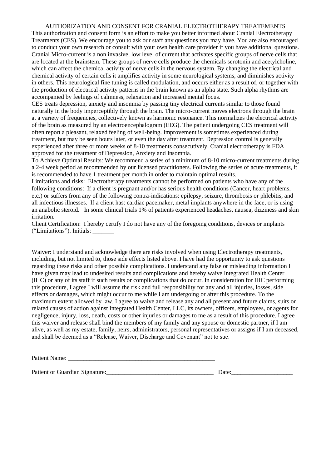#### AUTHORIZATION AND CONSENT FOR CRANIAL ELECTROTHERAPY TREATEMENTS

This authorization and consent form is an effort to make you better informed about Cranial Electrotherapy Treatments (CES). We encourage you to ask our staff any questions you may have. You are also encouraged to conduct your own research or consult with your own health care provider if you have additional questions. Cranial Micro-current is a non invasive, low level of current that activates specific groups of nerve cells that are located at the brainstem. These groups of nerve cells produce the chemicals serotonin and acetylcholine, which can affect the chemical activity of nerve cells in the nervous system. By changing the electrical and chemical activity of certain cells it amplifies activity in some neurological systems, and diminishes activity in others. This neurological fine tuning is called modulation, and occurs either as a result of, or together with the production of electrical activity patterns in the brain known as an alpha state. Such alpha rhythms are accompanied by feelings of calmness, relaxation and increased mental focus.

CES treats depression, anxiety and insomnia by passing tiny electrical currents similar to those found naturally in the body imperceptibly through the brain. The micro-current moves electrons through the brain at a variety of frequencies, collectively known as harmonic resonance. This normalizes the electrical activity of the brain as measured by an electroencephalogram (EEG). The patient undergoing CES treatment will often report a pleasant, relaxed feeling of well-being. Improvement is sometimes experienced during treatment, but may be seen hours later, or even the day after treatment. Depression control is generally experienced after three or more weeks of 8-10 treatments consecutively. Cranial electrotherapy is FDA approved for the treatment of Depression, Anxiety and Insomnia.

To Achieve Optimal Results: We recommend a series of a minimum of 8-10 micro-current treatments during a 2-4 week period as recommended by our licensed practitioners. Following the series of acute treatments, it is recommended to have 1 treatment per month in order to maintain optimal results.

Limitations and risks: Electrotherapy treatments cannot be performed on patients who have any of the following conditions: If a client is pregnant and/or has serious health conditions (Cancer, heart problems, etc.) or suffers from any of the following contra-indications: epilepsy, seizure, thrombosis or phlebitis, and all infectious illnesses. If a client has: cardiac pacemaker, metal implants anywhere in the face, or is using an anabolic steroid. In some clinical trials 1% of patients experienced headaches, nausea, dizziness and skin irritation.

Client Certification: I hereby certify I do not have any of the foregoing conditions, devices or implants ("Limitations"). Initials: \_\_\_\_\_\_\_

Waiver: I understand and acknowledge there are risks involved when using Electrotherapy treatments, including, but not limited to, those side effects listed above. I have had the opportunity to ask questions regarding these risks and other possible complications. I understand any false or misleading information I have given may lead to undesired results and complications and hereby waive Integrated Health Center (IHC) or any of its staff if such results or complications that do occur. In consideration for IHC performing this procedure, I agree I will assume the risk and full responsibility for any and all injuries, losses, side effects or damages, which might occur to me while I am undergoing or after this procedure. To the maximum extent allowed by law, I agree to waive and release any and all present and future claims, suits or related causes of action against Integrated Health Center, LLC, its owners, officers, employees, or agents for negligence, injury, loss, death, costs or other injuries or damages to me as a result of this procedure. I agree this waiver and release shall bind the members of my family and any spouse or domestic partner, if I am alive, as well as my estate, family, heirs, administrators, personal representatives or assigns if I am deceased, and shall be deemed as a "Release, Waiver, Discharge and Covenant" not to sue.

Patient Name: \_\_\_\_\_\_\_\_\_\_\_\_\_\_\_\_\_\_\_\_\_\_\_\_\_\_\_\_\_\_\_\_\_\_\_\_\_\_\_\_\_\_\_\_\_\_\_\_

Patient or Guardian Signature:\_\_\_\_\_\_\_\_\_\_\_\_\_\_\_\_\_\_\_\_\_\_\_\_\_\_\_\_\_\_\_\_\_\_\_ Date:\_\_\_\_\_\_\_\_\_\_\_\_\_\_\_\_\_\_\_\_